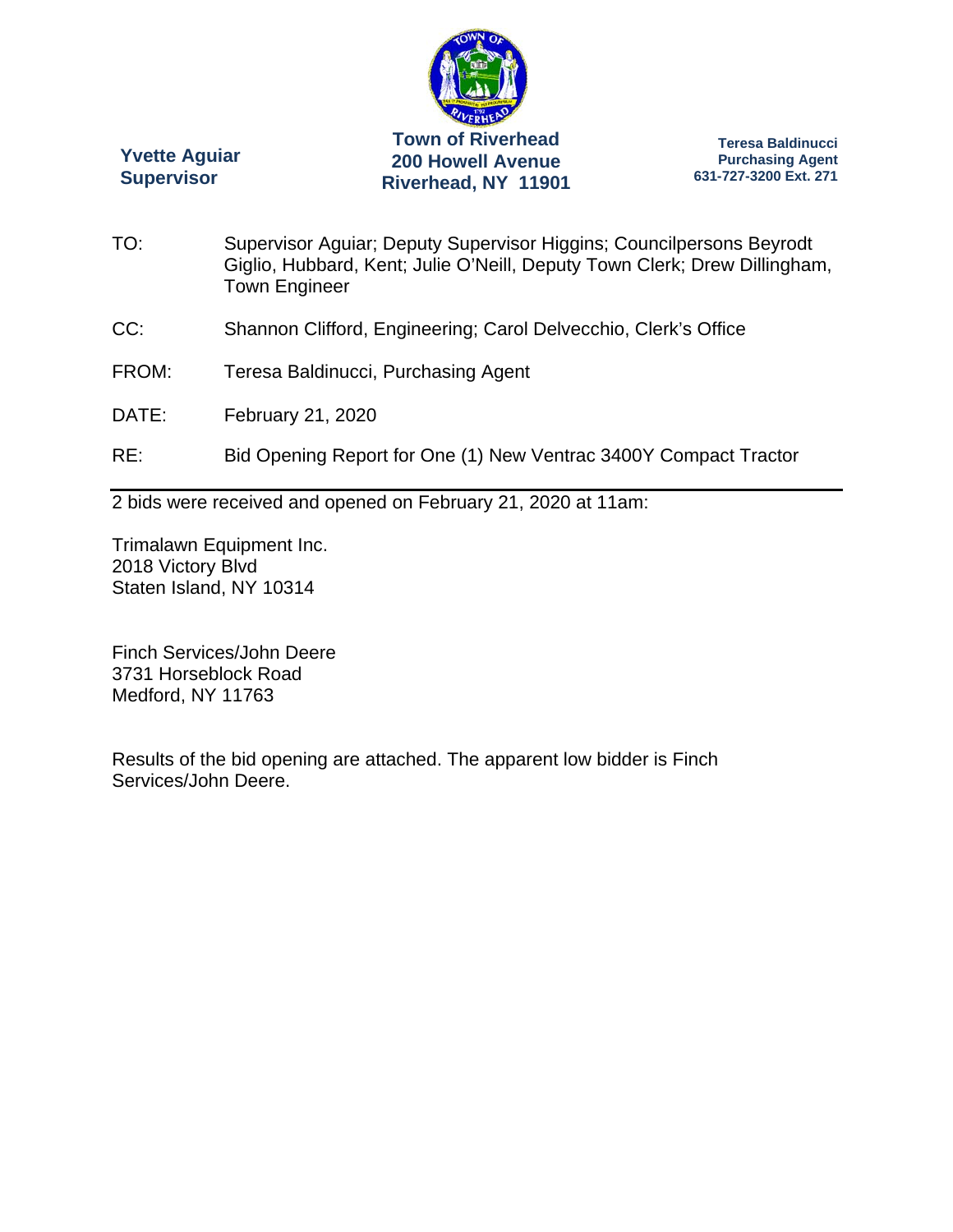

**Yvette Aguiar Supervisor** 

**Teresa Baldinucci Purchasing Agent 631-727-3200 Ext. 271** 

- TO: Supervisor Aguiar; Deputy Supervisor Higgins; Councilpersons Beyrodt Giglio, Hubbard, Kent; Julie O'Neill, Deputy Town Clerk; Drew Dillingham, Town Engineer
- CC: Shannon Clifford, Engineering; Carol Delvecchio, Clerk's Office
- FROM: Teresa Baldinucci, Purchasing Agent
- DATE: February 21, 2020
- RE: Bid Opening Report for One (1) New Ventrac 3400Y Compact Tractor

2 bids were received and opened on February 21, 2020 at 11am:

Trimalawn Equipment Inc. 2018 Victory Blvd Staten Island, NY 10314

Finch Services/John Deere 3731 Horseblock Road Medford, NY 11763

Results of the bid opening are attached. The apparent low bidder is Finch Services/John Deere.